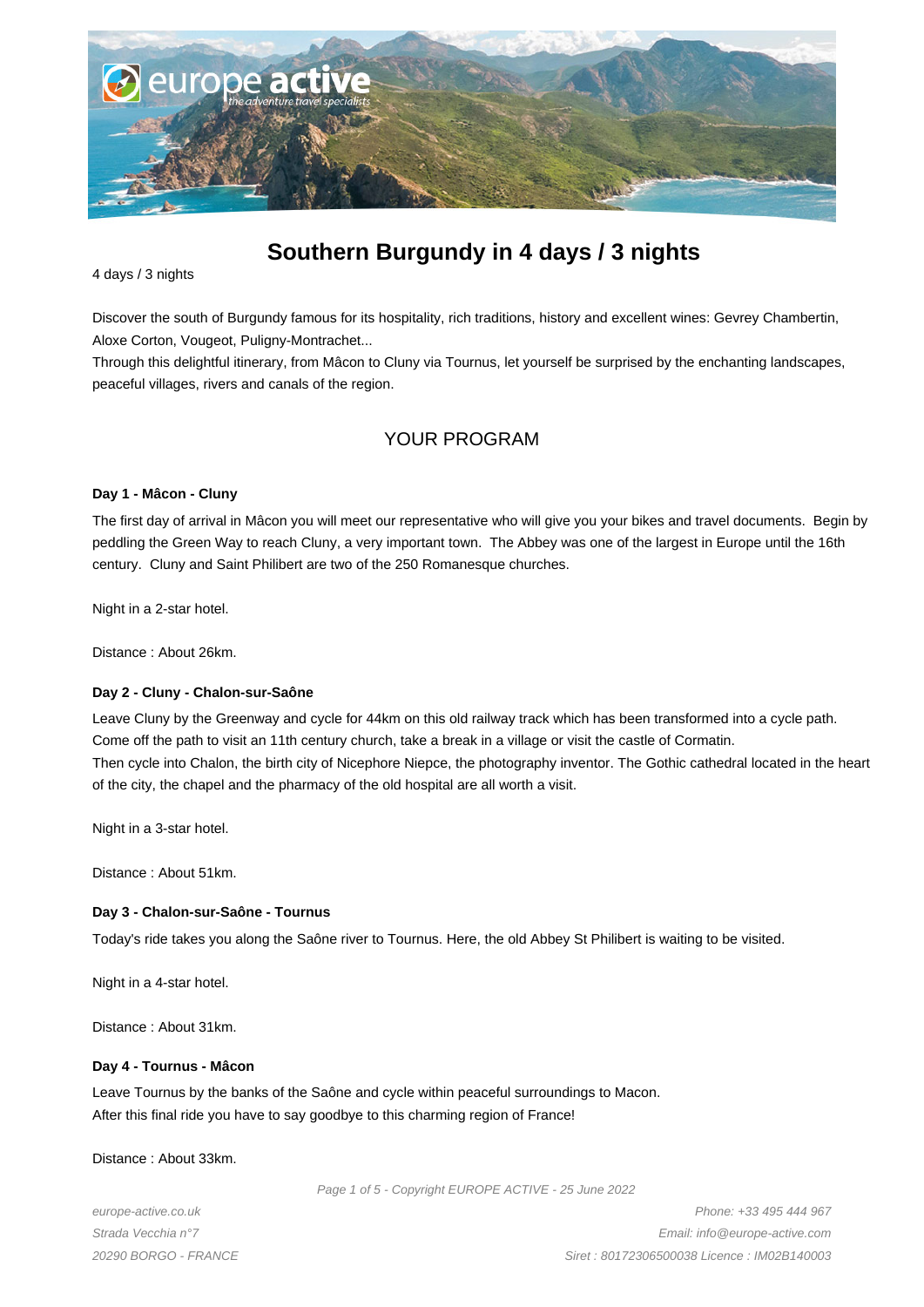

# **Southern Burgundy in 4 days / 3 nights**

4 days / 3 nights

Discover the south of Burgundy famous for its hospitality, rich traditions, history and excellent wines: Gevrey Chambertin, Aloxe Corton, Vougeot, Puligny-Montrachet...

Through this delightful itinerary, from Mâcon to Cluny via Tournus, let yourself be surprised by the enchanting landscapes, peaceful villages, rivers and canals of the region.

# YOUR PROGRAM

#### **Day 1 - Mâcon - Cluny**

The first day of arrival in Mâcon you will meet our representative who will give you your bikes and travel documents. Begin by peddling the Green Way to reach Cluny, a very important town. The Abbey was one of the largest in Europe until the 16th century. Cluny and Saint Philibert are two of the 250 Romanesque churches.

Night in a 2-star hotel.

Distance : About 26km.

#### **Day 2 - Cluny - Chalon-sur-Saône**

Leave Cluny by the Greenway and cycle for 44km on this old railway track which has been transformed into a cycle path. Come off the path to visit an 11th century church, take a break in a village or visit the castle of Cormatin. Then cycle into Chalon, the birth city of Nicephore Niepce, the photography inventor. The Gothic cathedral located in the heart of the city, the chapel and the pharmacy of the old hospital are all worth a visit.

Night in a 3-star hotel.

Distance : About 51km.

#### **Day 3 - Chalon-sur-Saône - Tournus**

Today's ride takes you along the Saône river to Tournus. Here, the old Abbey St Philibert is waiting to be visited.

Night in a 4-star hotel.

Distance : About 31km.

#### **Day 4 - Tournus - Mâcon**

Leave Tournus by the banks of the Saône and cycle within peaceful surroundings to Macon. After this final ride you have to say goodbye to this charming region of France!

Distance : About 33km.

Page 1 of 5 - Copyright EUROPE ACTIVE - 25 June 2022

europe-active.co.uk Strada Vecchia n°7 20290 BORGO - FRANCE

Phone: +33 495 444 967 Email: info@europe-active.com Siret : 80172306500038 Licence : IM02B140003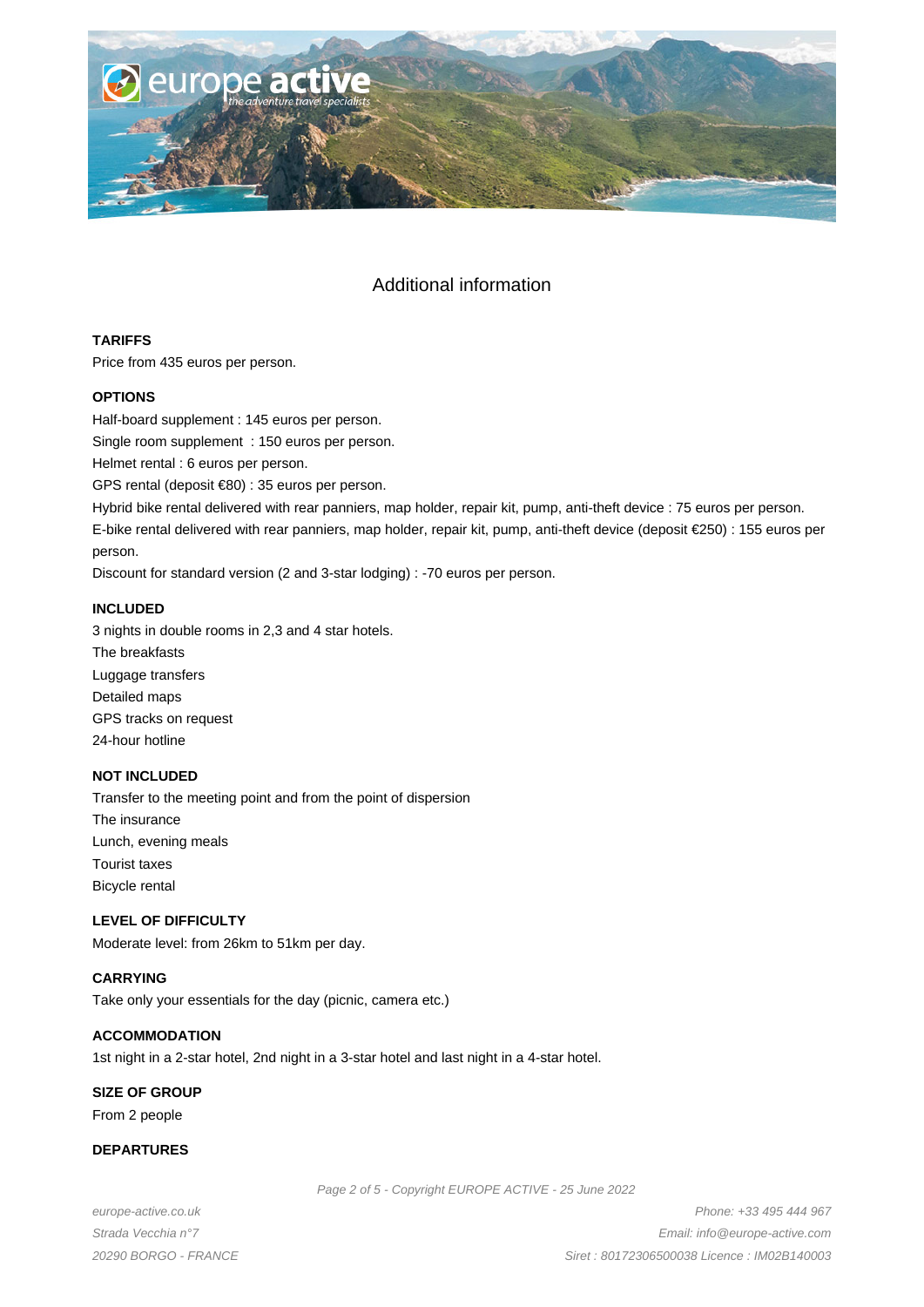

# Additional information

# **TARIFFS**

Price from 435 euros per person.

# **OPTIONS**

Half-board supplement : 145 euros per person.

Single room supplement : 150 euros per person.

Helmet rental : 6 euros per person.

GPS rental (deposit €80) : 35 euros per person.

Hybrid bike rental delivered with rear panniers, map holder, repair kit, pump, anti-theft device : 75 euros per person.

E-bike rental delivered with rear panniers, map holder, repair kit, pump, anti-theft device (deposit €250) : 155 euros per person.

Discount for standard version (2 and 3-star lodging) : -70 euros per person.

# **INCLUDED**

3 nights in double rooms in 2,3 and 4 star hotels. The breakfasts Luggage transfers Detailed maps GPS tracks on request 24-hour hotline

# **NOT INCLUDED**

Transfer to the meeting point and from the point of dispersion The insurance Lunch, evening meals Tourist taxes Bicycle rental

# **LEVEL OF DIFFICULTY**

Moderate level: from 26km to 51km per day.

# **CARRYING**

Take only your essentials for the day (picnic, camera etc.)

#### **ACCOMMODATION**

1st night in a 2-star hotel, 2nd night in a 3-star hotel and last night in a 4-star hotel.

# **SIZE OF GROUP**

From 2 people

# **DEPARTURES**

Page 2 of 5 - Copyright EUROPE ACTIVE - 25 June 2022

europe-active.co.uk Strada Vecchia n°7 20290 BORGO - FRANCE

Phone: +33 495 444 967 Email: info@europe-active.com Siret : 80172306500038 Licence : IM02B140003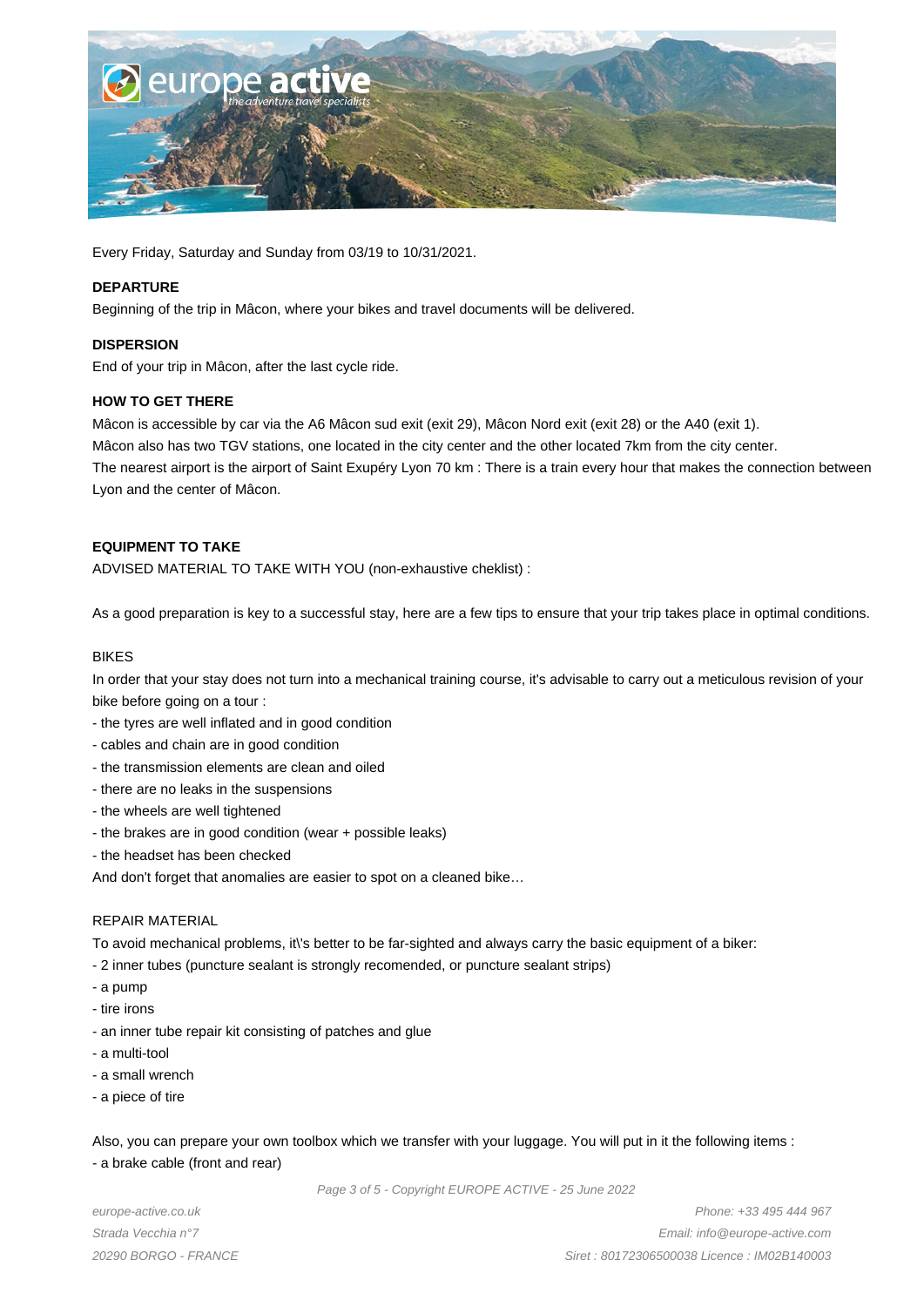

Every Friday, Saturday and Sunday from 03/19 to 10/31/2021.

#### **DEPARTURE**

Beginning of the trip in Mâcon, where your bikes and travel documents will be delivered.

#### **DISPERSION**

End of your trip in Mâcon, after the last cycle ride.

# **HOW TO GET THERE**

Mâcon is accessible by car via the A6 Mâcon sud exit (exit 29), Mâcon Nord exit (exit 28) or the A40 (exit 1). Mâcon also has two TGV stations, one located in the city center and the other located 7km from the city center. The nearest airport is the airport of Saint Exupéry Lyon 70 km : There is a train every hour that makes the connection between Lyon and the center of Mâcon.

# **EQUIPMENT TO TAKE**

ADVISED MATERIAL TO TAKE WITH YOU (non-exhaustive cheklist) :

As a good preparation is key to a successful stay, here are a few tips to ensure that your trip takes place in optimal conditions.

#### BIKES

In order that your stay does not turn into a mechanical training course, it's advisable to carry out a meticulous revision of your bike before going on a tour :

- the tyres are well inflated and in good condition
- cables and chain are in good condition
- the transmission elements are clean and oiled
- there are no leaks in the suspensions
- the wheels are well tightened
- the brakes are in good condition (wear + possible leaks)
- the headset has been checked

And don't forget that anomalies are easier to spot on a cleaned bike…

#### REPAIR MATERIAL

To avoid mechanical problems, it\'s better to be far-sighted and always carry the basic equipment of a biker:

- 2 inner tubes (puncture sealant is strongly recomended, or puncture sealant strips)
- a pump
- tire irons
- an inner tube repair kit consisting of patches and glue
- a multi-tool
- a small wrench
- a piece of tire

Also, you can prepare your own toolbox which we transfer with your luggage. You will put in it the following items : - a brake cable (front and rear)

Page 3 of 5 - Copyright EUROPE ACTIVE - 25 June 2022

europe-active.co.uk Strada Vecchia n°7 20290 BORGO - FRANCE

Phone: +33 495 444 967 Email: info@europe-active.com Siret : 80172306500038 Licence : IM02B140003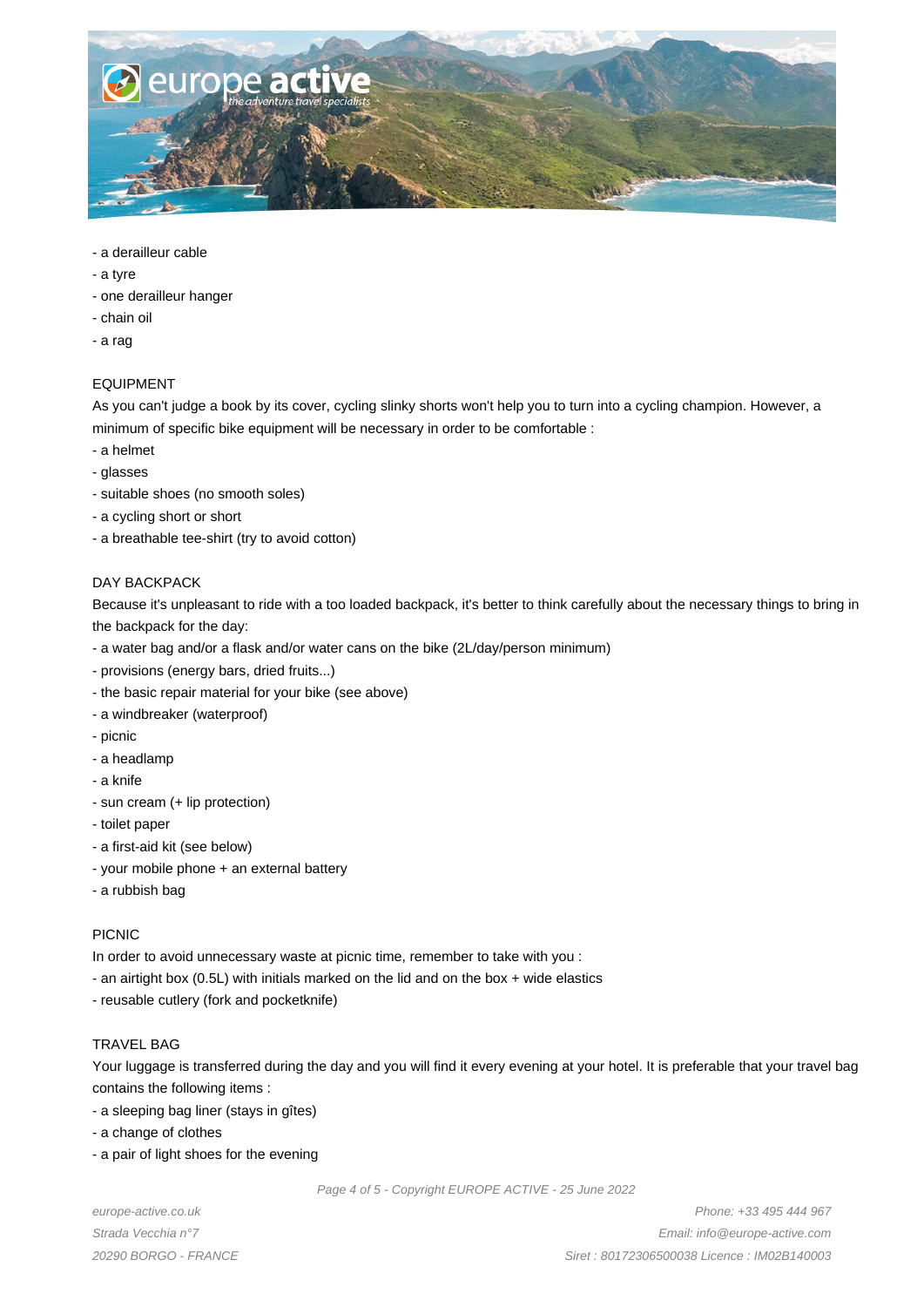

- a derailleur cable
- a tyre
- one derailleur hanger
- chain oil
- a rag

# EQUIPMENT

As you can't judge a book by its cover, cycling slinky shorts won't help you to turn into a cycling champion. However, a minimum of specific bike equipment will be necessary in order to be comfortable :

- a helmet
- glasses
- suitable shoes (no smooth soles)
- a cycling short or short
- a breathable tee-shirt (try to avoid cotton)

# DAY BACKPACK

Because it's unpleasant to ride with a too loaded backpack, it's better to think carefully about the necessary things to bring in the backpack for the day:

- a water bag and/or a flask and/or water cans on the bike (2L/day/person minimum)
- provisions (energy bars, dried fruits...)
- the basic repair material for your bike (see above)
- a windbreaker (waterproof)
- picnic
- a headlamp
- a knife
- sun cream (+ lip protection)
- toilet paper
- a first-aid kit (see below)
- your mobile phone + an external battery
- a rubbish bag

# PICNIC

In order to avoid unnecessary waste at picnic time, remember to take with you :

- an airtight box (0.5L) with initials marked on the lid and on the box + wide elastics
- reusable cutlery (fork and pocketknife)

# TRAVEL BAG

Your luggage is transferred during the day and you will find it every evening at your hotel. It is preferable that your travel bag contains the following items :

- a sleeping bag liner (stays in gîtes)
- a change of clothes
- a pair of light shoes for the evening

Page 4 of 5 - Copyright EUROPE ACTIVE - 25 June 2022

europe-active.co.uk Strada Vecchia n°7 20290 BORGO - FRANCE